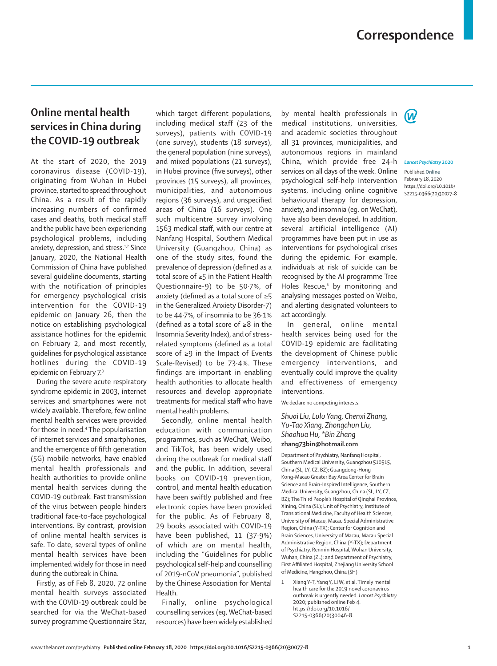## **Correspondence**

## **Online mental health services in China during the COVID-19 outbreak**

At the start of 2020, the 2019 coronavirus disease (COVID-19), originating from Wuhan in Hubei province, started to spread throughout China. As a result of the rapidly increasing numbers of confirmed cases and deaths, both medical staff and the public have been experiencing psychological problems, including anxiety, depression, and stress.<sup>1,2</sup> Since January, 2020, the National Health Commission of China have published several guideline documents, starting with the notification of principles for emergency psychological crisis intervention for the COVID-19 epidemic on January 26, then the notice on establishing psychological assistance hotlines for the epidemic on February 2, and most recently, guidelines for psychological assistance hotlines during the COVID-19 epidemic on February 7.3

During the severe acute respiratory syndrome epidemic in 2003, internet services and smartphones were not widely available. Therefore, few online mental health services were provided for those in need.<sup>4</sup> The popularisation of internet services and smartphones, and the emergence of fifth generation (5G) mobile networks, have enabled mental health professionals and health authorities to provide online mental health services during the COVID-19 outbreak. Fast transmission of the virus between people hinders traditional face-to-face psychological interventions. By contrast, provision of online mental health services is safe. To date, several types of online mental health services have been implemented widely for those in need during the outbreak in China.

Firstly, as of Feb 8, 2020, 72 online mental health surveys associated with the COVID-19 outbreak could be searched for via the WeChat-based survey programme Questionnaire Star,

which target different populations, including medical staff (23 of the surveys), patients with COVID-19 (one survey), students (18 surveys), the general population (nine surveys), and mixed populations (21 surveys); in Hubei province (five surveys), other provinces (15 surveys), all provinces, municipalities, and autonomous regions (36 surveys), and unspecified areas of China (16 surveys). One such multicentre survey involving 1563 medical staff, with our centre at Nanfang Hospital, Southern Medical University (Guangzhou, China) as one of the study sites, found the prevalence of depression (defined as a total score of ≥5 in the Patient Health Questionnaire-9) to be 50·7%, of anxiety (defined as a total score of ≥5 in the Generalized Anxiety Disorder-7) to be 44·7%, of insomnia to be 36·1% (defined as a total score of ≥8 in the Insomnia Severity Index), and of stressrelated symptoms (defined as a total score of ≥9 in the Impact of Events Scale-Revised) to be 73·4%. These findings are important in enabling health authorities to allocate health resources and develop appropriate treatments for medical staff who have mental health problems.

Secondly, online mental health education with communication programmes, such as WeChat, Weibo, and TikTok, has been widely used during the outbreak for medical staff and the public. In addition, several books on COVID-19 prevention, control, and mental health education have been swiftly published and free electronic copies have been provided for the public. As of February 8, 29 books associated with COVID-19 have been published, 11 (37·9%) of which are on mental health, including the "Guidelines for public psychological self-help and counselling of 2019-nCoV pneumonia", published by the Chinese Association for Mental Health.

Finally, online psychological counselling services (eg, WeChat-based resources) have been widely established by mental health professionals in medical institutions, universities, and academic societies throughout all 31 provinces, municipalities, and autonomous regions in mainland China, which provide free 24-h services on all days of the week. Online psychological self-help intervention systems, including online cognitive behavioural therapy for depression, anxiety, and insomnia (eg, on WeChat), have also been developed. In addition, several artificial intelligence (AI) programmes have been put in use as interventions for psychological crises during the epidemic. For example, individuals at risk of suicide can be recognised by the AI programme Tree Holes Rescue,<sup>5</sup> by monitoring and analysing messages posted on Weibo, and alerting designated volunteers to act accordingly.

In general, online mental health services being used for the COVID-19 epidemic are facilitating the development of Chinese public emergency interventions, and eventually could improve the quality and effectiveness of emergency interventions.

We declare no competing interests.

## *Shuai Liu, Lulu Yang, Chenxi Zhang, Yu-Tao Xiang, Zhongchun Liu, Shaohua Hu, \*Bin Zhang* **[zhang73bin@hotmail.com](mailto:zhang73bin@hotmail.com)**

Department of Psychiatry, Nanfang Hospital, Southern Medical University, Guangzhou 510515, China (SL, LY, CZ, BZ); Guangdong-Hong Kong-Macao Greater Bay Area Center for Brain Science and Brain-Inspired Intelligence, Southern Medical University, Guangzhou, China (SL, LY, CZ, BZ); The Third People's Hospital of Qinghai Province, Xining, China (SL); Unit of Psychiatry, Institute of Translational Medicine, Faculty of Health Sciences, University of Macau, Macau Special Administrative Region, China (Y-TX); Center for Cognition and Brain Sciences, University of Macau, Macau Special Administrative Region, China (Y-TX); Department of Psychiatry, Renmin Hospital, Wuhan University, Wuhan, China (ZL); and Department of Psychiatry, First Affiliated Hospital, Zhejiang University School of Medicine, Hangzhou, China (SH)

1 Xiang Y-T, Yang Y, Li W, et al. Timely mental health care for the 2019 novel coronavirus outbreak is urgently needed. *Lancet Psychiatry* 2020; published online Feb 4. https://doi.org/10.1016/ S2215-0366(20)30046-8.



## *Lancet Psychiatry* **2020**

Published **Online** February 18, 2020 https://doi.org/10.1016/ S2215-0366(20)30077-8